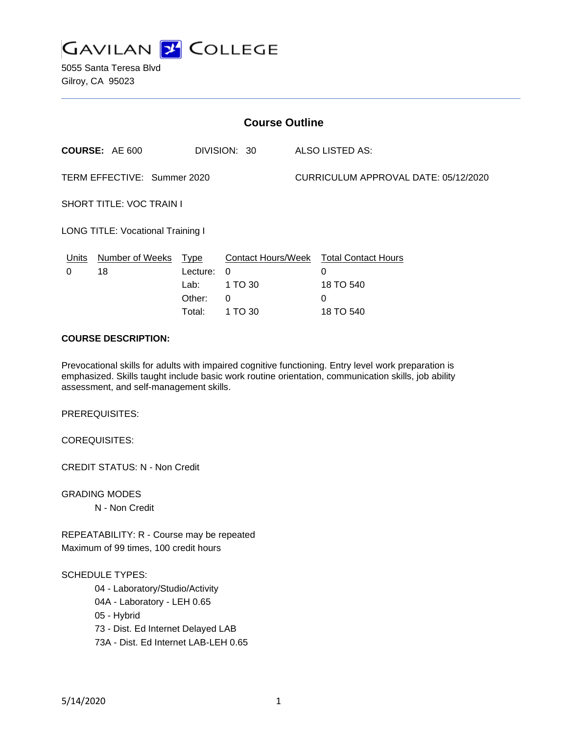

5055 Santa Teresa Blvd Gilroy, CA 95023

| <b>Course Outline</b>                    |                 |                                              |                                     |  |                                                                            |  |
|------------------------------------------|-----------------|----------------------------------------------|-------------------------------------|--|----------------------------------------------------------------------------|--|
| <b>COURSE: AE 600</b>                    |                 |                                              | DIVISION: 30                        |  | <b>ALSO LISTED AS:</b>                                                     |  |
| TERM EFFECTIVE: Summer 2020              |                 |                                              |                                     |  | CURRICULUM APPROVAL DATE: 05/12/2020                                       |  |
| <b>SHORT TITLE: VOC TRAIN I</b>          |                 |                                              |                                     |  |                                                                            |  |
| <b>LONG TITLE: Vocational Training I</b> |                 |                                              |                                     |  |                                                                            |  |
| Units<br>18<br>0                         | Number of Weeks | Type<br>Lecture:<br>Lab:<br>Other:<br>Total: | $\Omega$<br>1 TO 30<br>0<br>1 TO 30 |  | Contact Hours/Week Total Contact Hours<br>0<br>18 TO 540<br>0<br>18 TO 540 |  |

# **COURSE DESCRIPTION:**

Prevocational skills for adults with impaired cognitive functioning. Entry level work preparation is emphasized. Skills taught include basic work routine orientation, communication skills, job ability assessment, and self-management skills.

PREREQUISITES:

COREQUISITES:

CREDIT STATUS: N - Non Credit

GRADING MODES N - Non Credit

REPEATABILITY: R - Course may be repeated Maximum of 99 times, 100 credit hours

#### SCHEDULE TYPES:

04 - Laboratory/Studio/Activity

04A - Laboratory - LEH 0.65

05 - Hybrid

73 - Dist. Ed Internet Delayed LAB

73A - Dist. Ed Internet LAB-LEH 0.65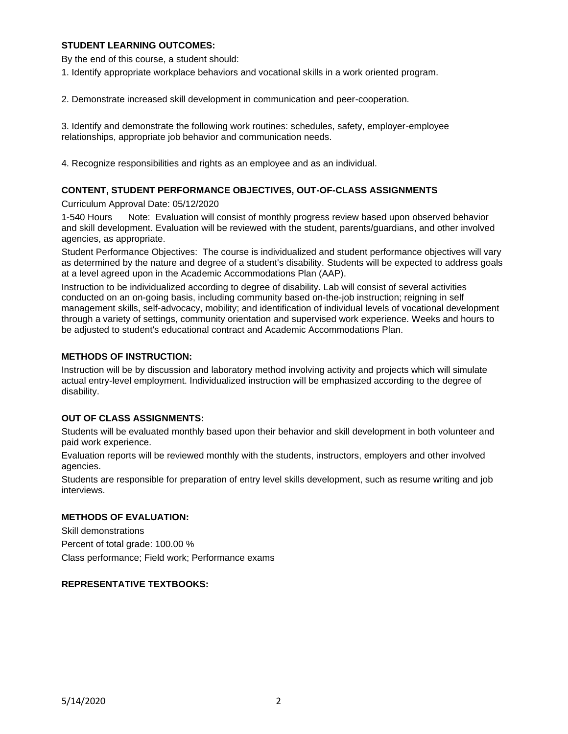## **STUDENT LEARNING OUTCOMES:**

By the end of this course, a student should:

1. Identify appropriate workplace behaviors and vocational skills in a work oriented program.

2. Demonstrate increased skill development in communication and peer-cooperation.

3. Identify and demonstrate the following work routines: schedules, safety, employer-employee relationships, appropriate job behavior and communication needs.

4. Recognize responsibilities and rights as an employee and as an individual.

## **CONTENT, STUDENT PERFORMANCE OBJECTIVES, OUT-OF-CLASS ASSIGNMENTS**

Curriculum Approval Date: 05/12/2020

1-540 Hours Note: Evaluation will consist of monthly progress review based upon observed behavior and skill development. Evaluation will be reviewed with the student, parents/guardians, and other involved agencies, as appropriate.

Student Performance Objectives: The course is individualized and student performance objectives will vary as determined by the nature and degree of a student's disability. Students will be expected to address goals at a level agreed upon in the Academic Accommodations Plan (AAP).

Instruction to be individualized according to degree of disability. Lab will consist of several activities conducted on an on-going basis, including community based on-the-job instruction; reigning in self management skills, self-advocacy, mobility; and identification of individual levels of vocational development through a variety of settings, community orientation and supervised work experience. Weeks and hours to be adjusted to student's educational contract and Academic Accommodations Plan.

#### **METHODS OF INSTRUCTION:**

Instruction will be by discussion and laboratory method involving activity and projects which will simulate actual entry-level employment. Individualized instruction will be emphasized according to the degree of disability.

## **OUT OF CLASS ASSIGNMENTS:**

Students will be evaluated monthly based upon their behavior and skill development in both volunteer and paid work experience.

Evaluation reports will be reviewed monthly with the students, instructors, employers and other involved agencies.

Students are responsible for preparation of entry level skills development, such as resume writing and job interviews.

## **METHODS OF EVALUATION:**

Skill demonstrations Percent of total grade: 100.00 % Class performance; Field work; Performance exams

## **REPRESENTATIVE TEXTBOOKS:**